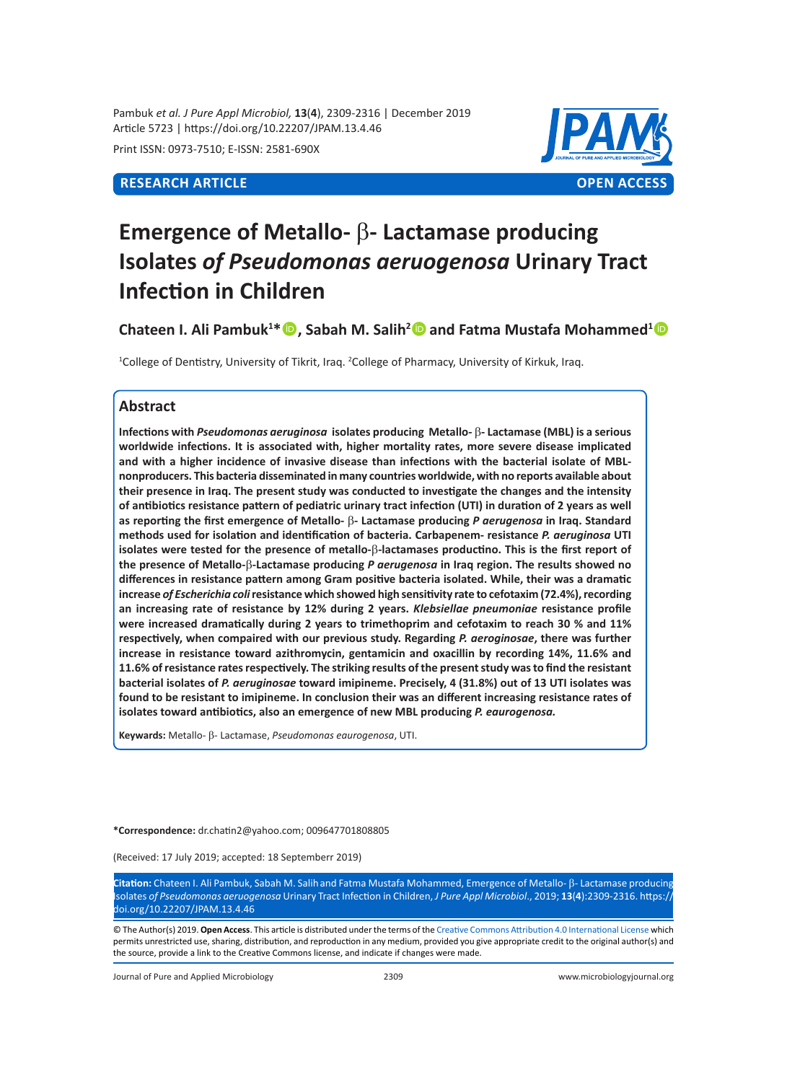Pambuk *et al. J Pure Appl Microbiol,* **13**(**4**), 2309-2316 | December 2019 Article 5723 | https://doi.org/10.22207/JPAM.13.4.46

Print ISSN: 0973-7510; E-ISSN: 2581-690X



# **Emergence of Metallo-** β**- Lactamase producing Isolates** *of Pseudomonas aeruogenosa* **Urinary Tract Infection in Children**

**Chateen I. Ali Pambuk<sup>1</sup> \*, Sabah M. Salih<sup>2</sup> and Fatma Mustafa Mohammed<sup>1</sup>**

1 College of Dentistry, University of Tikrit, Iraq. 2 College of Pharmacy, University of Kirkuk, Iraq.

# **Abstract**

**Infections with** *Pseudomonas aeruginosa* **isolates producing Metallo-** β**- Lactamase (MBL) is a serious worldwide infections. It is associated with, higher mortality rates, more severe disease implicated and with a higher incidence of invasive disease than infections with the bacterial isolate of MBLnonproducers. This bacteria disseminated in many countries worldwide, with no reports available about their presence in Iraq. The present study was conducted to investigate the changes and the intensity of antibiotics resistance pattern of pediatric urinary tract infection (UTI) in duration of 2 years as well as reporting the first emergence of Metallo-** β**- Lactamase producing** *P aerugenosa* **in Iraq. Standard methods used for isolation and identification of bacteria. Carbapenem- resistance** *P. aeruginosa* **UTI isolates were tested for the presence of metallo-**β**-lactamases productino. This is the first report of the presence of Metallo-**β**-Lactamase producing** *P aerugenosa* **in Iraq region. The results showed no differences in resistance pattern among Gram positive bacteria isolated. While, their was a dramatic increase** *of Escherichia coli* **resistance which showed high sensitivity rate to cefotaxim (72.4%), recording an increasing rate of resistance by 12% during 2 years.** *Klebsiellae pneumoniae* **resistance profile were increased dramatically during 2 years to trimethoprim and cefotaxim to reach 30 % and 11% respectively, when compaired with our previous study. Regarding** *P. aeroginosae***, there was further increase in resistance toward azithromycin, gentamicin and oxacillin by recording 14%, 11.6% and 11.6% of resistance rates respectively. The striking results of the present study was to find the resistant bacterial isolates of** *P. aeruginosae* **toward imipineme. Precisely, 4 (31.8%) out of 13 UTI isolates was found to be resistant to imipineme. In conclusion their was an different increasing resistance rates of isolates toward antibiotics, also an emergence of new MBL producing** *P. eaurogenosa.*

**Keywards:** Metallo- β- Lactamase, *Pseudomonas eaurogenosa*, UTI.

**\*Correspondence:** dr.chatin2@yahoo.com; 009647701808805

(Received: 17 July 2019; accepted: 18 Septemberr 2019)

**Citation:** Chateen I. Ali Pambuk, Sabah M. Salihand Fatma Mustafa Mohammed, Emergence of Metallo- b- Lactamase producing Isolates *of Pseudomonas aeruogenosa* Urinary Tract Infection in Children, *J Pure Appl Microbiol*., 2019; **13**(**4**):2309-2316. https:// doi.org/10.22207/JPAM.13.4.46

© The Author(s) 2019. **Open Access**. This article is distributed under the terms of the [Creative Commons Attribution 4.0 International License](https://creativecommons.org/licenses/by/4.0/) which permits unrestricted use, sharing, distribution, and reproduction in any medium, provided you give appropriate credit to the original author(s) and the source, provide a link to the Creative Commons license, and indicate if changes were made.

Journal of Pure and Applied Microbiology 2309 www.microbiologyjournal.org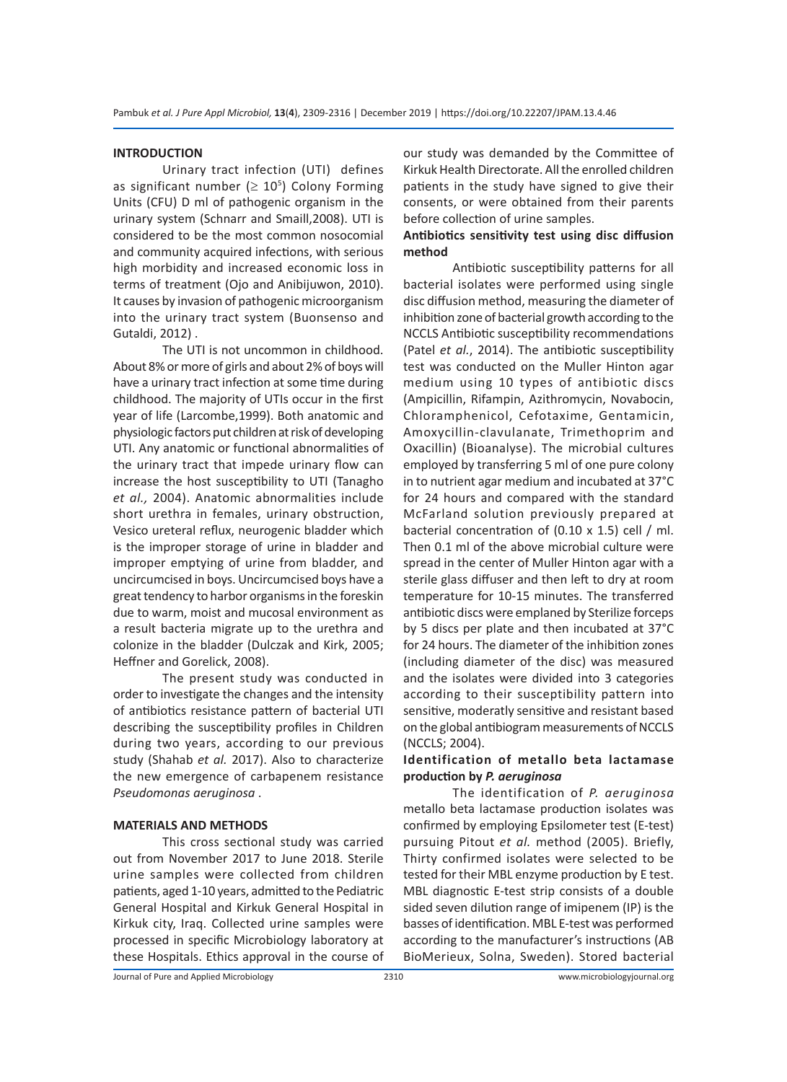# **INTRODUCTION**

Urinary tract infection (UTI) defines as significant number ( $\geq 10^5$ ) Colony Forming Units (CFU) D ml of pathogenic organism in the urinary system (Schnarr and Smaill,2008). UTI is considered to be the most common nosocomial and community acquired infections, with serious high morbidity and increased economic loss in terms of treatment (Ojo and Anibijuwon, 2010). It causes by invasion of pathogenic microorganism into the urinary tract system (Buonsenso and Gutaldi, 2012) .

The UTI is not uncommon in childhood. About 8% or more of girls and about 2% of boys will have a urinary tract infection at some time during childhood. The majority of UTIs occur in the first year of life (Larcombe,1999). Both anatomic and physiologic factors put children at risk of developing UTI. Any anatomic or functional abnormalities of the urinary tract that impede urinary flow can increase the host susceptibility to UTI (Tanagho *et al.,* 2004). Anatomic abnormalities include short urethra in females, urinary obstruction, Vesico ureteral reflux, neurogenic bladder which is the improper storage of urine in bladder and improper emptying of urine from bladder, and uncircumcised in boys. Uncircumcised boys have a great tendency to harbor organisms in the foreskin due to warm, moist and mucosal environment as a result bacteria migrate up to the urethra and colonize in the bladder (Dulczak and Kirk, 2005; Heffner and Gorelick, 2008).

The present study was conducted in order to investigate the changes and the intensity of antibiotics resistance pattern of bacterial UTI describing the susceptibility profiles in Children during two years, according to our previous study (Shahab *et al.* 2017). Also to characterize the new emergence of carbapenem resistance *Pseudomonas aeruginosa* .

# **MATERIALS AND METHODS**

This cross sectional study was carried out from November 2017 to June 2018. Sterile urine samples were collected from children patients, aged 1-10 years, admitted to the Pediatric General Hospital and Kirkuk General Hospital in Kirkuk city, Iraq. Collected urine samples were processed in specific Microbiology laboratory at these Hospitals. Ethics approval in the course of our study was demanded by the Committee of Kirkuk Health Directorate. All the enrolled children patients in the study have signed to give their consents, or were obtained from their parents before collection of urine samples.

# **Antibiotics sensitivity test using disc diffusion method**

Antibiotic susceptibility patterns for all bacterial isolates were performed using single disc diffusion method, measuring the diameter of inhibition zone of bacterial growth according to the NCCLS Antibiotic susceptibility recommendations (Patel *et al.*, 2014). The antibiotic susceptibility test was conducted on the Muller Hinton agar medium using 10 types of antibiotic discs (Ampicillin, Rifampin, Azithromycin, Novabocin, Chloramphenicol, Cefotaxime, Gentamicin, Amoxycillin-clavulanate, Trimethoprim and Oxacillin) (Bioanalyse). The microbial cultures employed by transferring 5 ml of one pure colony in to nutrient agar medium and incubated at 37°C for 24 hours and compared with the standard McFarland solution previously prepared at bacterial concentration of (0.10 x 1.5) cell / ml. Then 0.1 ml of the above microbial culture were spread in the center of Muller Hinton agar with a sterile glass diffuser and then left to dry at room temperature for 10-15 minutes. The transferred antibiotic discs were emplaned by Sterilize forceps by 5 discs per plate and then incubated at 37°C for 24 hours. The diameter of the inhibition zones (including diameter of the disc) was measured and the isolates were divided into 3 categories according to their susceptibility pattern into sensitive, moderatly sensitive and resistant based on the global antibiogram measurements of NCCLS (NCCLS; 2004).

# **Identification of metallo beta lactamase production by** *P. aeruginosa*

The identification of *P. aeruginosa* metallo beta lactamase production isolates was confirmed by employing Epsilometer test (E-test) pursuing Pitout *et al.* method (2005). Briefly, Thirty confirmed isolates were selected to be tested for their MBL enzyme production by E test. MBL diagnostic E-test strip consists of a double sided seven dilution range of imipenem (IP) is the basses of identification. MBL E-test was performed according to the manufacturer's instructions (AB BioMerieux, Solna, Sweden). Stored bacterial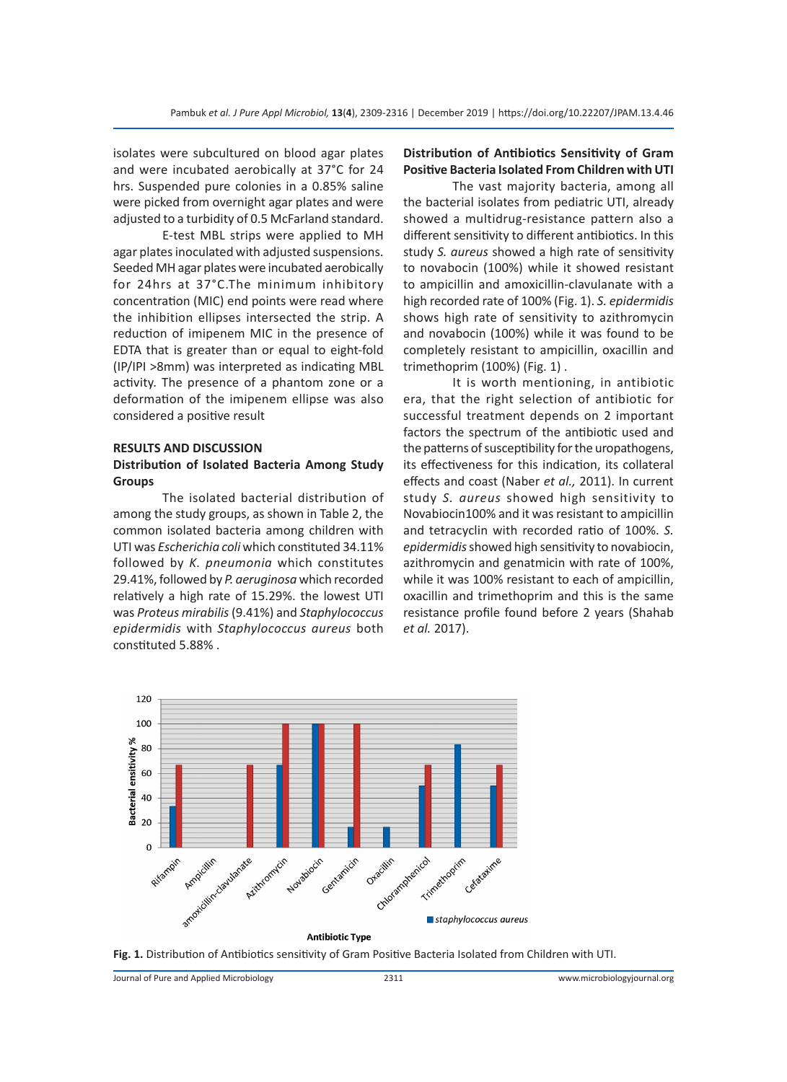isolates were subcultured on blood agar plates and were incubated aerobically at 37°C for 24 hrs. Suspended pure colonies in a 0.85% saline were picked from overnight agar plates and were adjusted to a turbidity of 0.5 McFarland standard.

E-test MBL strips were applied to MH agar plates inoculated with adjusted suspensions. Seeded MH agar plates were incubated aerobically for 24hrs at 37°C.The minimum inhibitory concentration (MIC) end points were read where the inhibition ellipses intersected the strip. A reduction of imipenem MIC in the presence of EDTA that is greater than or equal to eight-fold (IP/IPI >8mm) was interpreted as indicating MBL activity. The presence of a phantom zone or a deformation of the imipenem ellipse was also considered a positive result

# **RESULTS AND DISCUSSION**

# **Distribution of Isolated Bacteria Among Study Groups**

The isolated bacterial distribution of among the study groups, as shown in Table 2, the common isolated bacteria among children with UTI was *Escherichia coli* which constituted 34.11% followed by *K. pneumonia* which constitutes 29.41%, followed by *P. aeruginosa* which recorded relatively a high rate of 15.29%. the lowest UTI was *Proteus mirabilis* (9.41%) and *Staphylococcus epidermidis* with *Staphylococcus aureus* both constituted 5.88% .

# **Distribution of Antibiotics Sensitivity of Gram Positive Bacteria Isolated From Children with UTI**

The vast majority bacteria, among all the bacterial isolates from pediatric UTI, already showed a multidrug-resistance pattern also a different sensitivity to different antibiotics. In this study *S. aureus* showed a high rate of sensitivity to novabocin (100%) while it showed resistant to ampicillin and amoxicillin-clavulanate with a high recorded rate of 100% (Fig. 1). *S. epidermidis*  shows high rate of sensitivity to azithromycin and novabocin (100%) while it was found to be completely resistant to ampicillin, oxacillin and trimethoprim (100%) (Fig. 1) .

It is worth mentioning, in antibiotic era, that the right selection of antibiotic for successful treatment depends on 2 important factors the spectrum of the antibiotic used and the patterns of susceptibility for the uropathogens, its effectiveness for this indication, its collateral effects and coast (Naber *et al.,* 2011). In current study *S. aureus* showed high sensitivity to Novabiocin100% and it was resistant to ampicillin and tetracyclin with recorded ratio of 100%. *S. epidermidis* showed high sensitivity to novabiocin, azithromycin and genatmicin with rate of 100%, while it was 100% resistant to each of ampicillin, oxacillin and trimethoprim and this is the same resistance profile found before 2 years (Shahab *et al.* 2017).



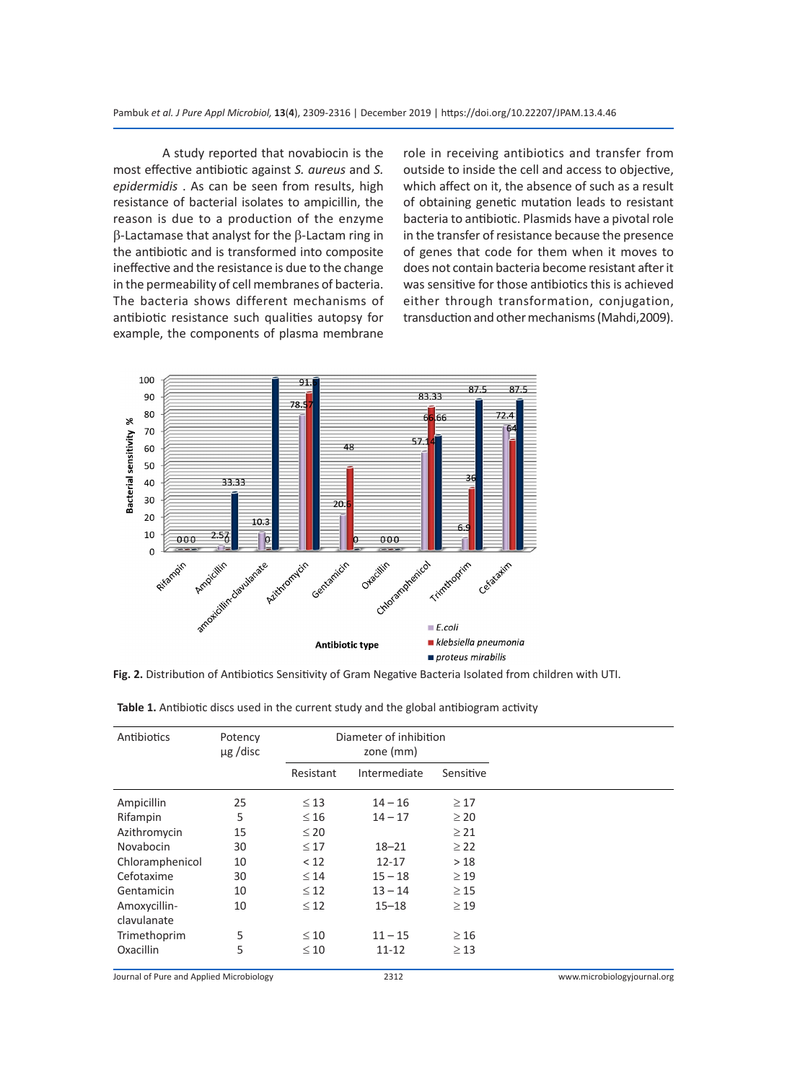A study reported that novabiocin is the most effective antibiotic against *S. aureus* and *S. epidermidis* . As can be seen from results, high resistance of bacterial isolates to ampicillin, the reason is due to a production of the enzyme β-Lactamase that analyst for the β-Lactam ring in the antibiotic and is transformed into composite ineffective and the resistance is due to the change in the permeability of cell membranes of bacteria. The bacteria shows different mechanisms of antibiotic resistance such qualities autopsy for example, the components of plasma membrane role in receiving antibiotics and transfer from outside to inside the cell and access to objective, which affect on it, the absence of such as a result of obtaining genetic mutation leads to resistant bacteria to antibiotic. Plasmids have a pivotal role in the transfer of resistance because the presence of genes that code for them when it moves to does not contain bacteria become resistant after it was sensitive for those antibiotics this is achieved either through transformation, conjugation, transduction and other mechanisms (Mahdi,2009).



**Fig. 2.** Distribution of Antibiotics Sensitivity of Gram Negative Bacteria Isolated from children with UTI.

| Antibiotics                              | Potency<br>$\mu$ g /disc | Diameter of inhibition<br>zone (mm) |              |           |                             |
|------------------------------------------|--------------------------|-------------------------------------|--------------|-----------|-----------------------------|
|                                          |                          | Resistant                           | Intermediate | Sensitive |                             |
| Ampicillin                               | 25                       | $\leq 13$                           | $14 - 16$    | $\geq$ 17 |                             |
| Rifampin                                 | 5                        | $\leq 16$                           | $14 - 17$    | $\geq 20$ |                             |
| Azithromycin                             | 15                       | $\leq 20$                           |              | $\geq$ 21 |                             |
| Novabocin                                | 30                       | $\leq 17$                           | $18 - 21$    | $\geq$ 22 |                             |
| Chloramphenicol                          | 10                       | < 12                                | $12 - 17$    | >18       |                             |
| Cefotaxime                               | 30                       | $\leq 14$                           | $15 - 18$    | $\geq$ 19 |                             |
| Gentamicin                               | 10                       | $\leq 12$                           | $13 - 14$    | $\geq$ 15 |                             |
| Amoxycillin-                             | 10                       | $\leq 12$                           | $15 - 18$    | $\geq$ 19 |                             |
| clavulanate                              |                          |                                     |              |           |                             |
| Trimethoprim                             | 5                        | $\leq 10$                           | $11 - 15$    | $\geq 16$ |                             |
| Oxacillin                                | 5                        | $\leq 10$                           | 11-12        | $\geq$ 13 |                             |
| Journal of Pure and Applied Microbiology |                          |                                     | 2312         |           | www.microbiologyjournal.org |

**Table 1.** Antibiotic discs used in the current study and the global antibiogram activity

Journal of Pure and Applied Microbiology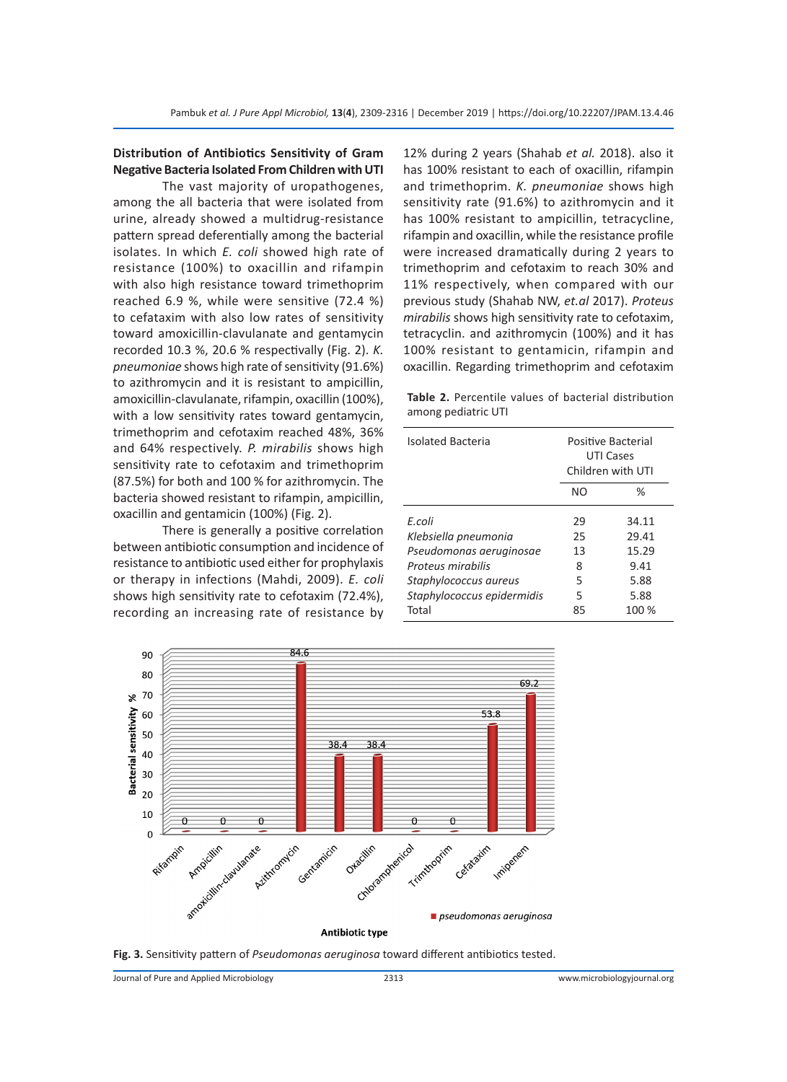# **Distribution of Antibiotics Sensitivity of Gram Negative Bacteria Isolated From Children with UTI**

The vast majority of uropathogenes, among the all bacteria that were isolated from urine, already showed a multidrug-resistance pattern spread deferentially among the bacterial isolates. In which *E. coli* showed high rate of resistance (100%) to oxacillin and rifampin with also high resistance toward trimethoprim reached 6.9 %, while were sensitive (72.4 %) to cefataxim with also low rates of sensitivity toward amoxicillin-clavulanate and gentamycin recorded 10.3 %, 20.6 % respectivally (Fig. 2). *K. pneumoniae* shows high rate of sensitivity (91.6%) to azithromycin and it is resistant to ampicillin, amoxicillin-clavulanate, rifampin, oxacillin (100%), with a low sensitivity rates toward gentamycin, trimethoprim and cefotaxim reached 48%, 36% and 64% respectively. *P. mirabilis* shows high sensitivity rate to cefotaxim and trimethoprim (87.5%) for both and 100 % for azithromycin. The bacteria showed resistant to rifampin, ampicillin, oxacillin and gentamicin (100%) (Fig. 2).

There is generally a positive correlation between antibiotic consumption and incidence of resistance to antibiotic used either for prophylaxis or therapy in infections (Mahdi, 2009). *E. coli* shows high sensitivity rate to cefotaxim (72.4%), recording an increasing rate of resistance by 12% during 2 years (Shahab *et al.* 2018). also it has 100% resistant to each of oxacillin, rifampin and trimethoprim. *K. pneumoniae* shows high sensitivity rate (91.6%) to azithromycin and it has 100% resistant to ampicillin, tetracycline, rifampin and oxacillin, while the resistance profile were increased dramatically during 2 years to trimethoprim and cefotaxim to reach 30% and 11% respectively, when compared with our previous study (Shahab NW, *et.al* 2017). *Proteus mirabilis* shows high sensitivity rate to cefotaxim, tetracyclin. and azithromycin (100%) and it has 100% resistant to gentamicin, rifampin and oxacillin. Regarding trimethoprim and cefotaxim

**Table 2.** Percentile values of bacterial distribution among pediatric UTI

| <b>Isolated Bacteria</b>   | Positive Bacterial<br>UTI Cases<br>Children with UTI |       |
|----------------------------|------------------------------------------------------|-------|
|                            | NO.                                                  | $\%$  |
| F.coli                     | 29                                                   | 34.11 |
| Klebsiella pneumonia       | 25                                                   | 29.41 |
| Pseudomonas aeruginosae    | 13                                                   | 15.29 |
| Proteus mirabilis          | 8                                                    | 9.41  |
| Staphylococcus aureus      | 5                                                    | 5.88  |
| Staphylococcus epidermidis | 5                                                    | 5.88  |
| Total                      | 85                                                   | 100 % |



**Fig. 3.** Sensitivity pattern of *Pseudomonas aeruginosa* toward different antibiotics tested.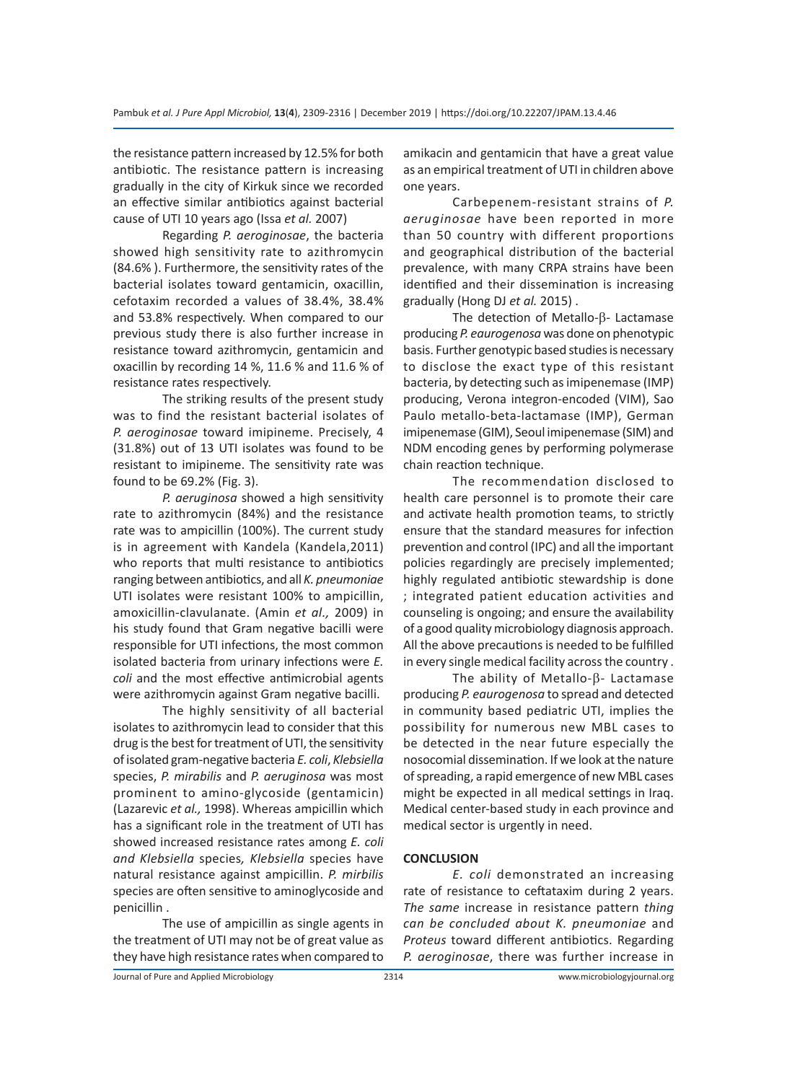the resistance pattern increased by 12.5% for both antibiotic. The resistance pattern is increasing gradually in the city of Kirkuk since we recorded an effective similar antibiotics against bacterial cause of UTI 10 years ago (Issa *et al.* 2007)

Regarding *P. aeroginosae*, the bacteria showed high sensitivity rate to azithromycin (84.6% ). Furthermore, the sensitivity rates of the bacterial isolates toward gentamicin, oxacillin, cefotaxim recorded a values of 38.4%, 38.4% and 53.8% respectively. When compared to our previous study there is also further increase in resistance toward azithromycin, gentamicin and oxacillin by recording 14 %, 11.6 % and 11.6 % of resistance rates respectively.

The striking results of the present study was to find the resistant bacterial isolates of *P. aeroginosae* toward imipineme. Precisely, 4 (31.8%) out of 13 UTI isolates was found to be resistant to imipineme. The sensitivity rate was found to be 69.2% (Fig. 3).

*P. aeruginosa* showed a high sensitivity rate to azithromycin (84%) and the resistance rate was to ampicillin (100%). The current study is in agreement with Kandela (Kandela,2011) who reports that multi resistance to antibiotics ranging between antibiotics, and all *K. pneumoniae* UTI isolates were resistant 100% to ampicillin, amoxicillin-clavulanate. (Amin *et al.,* 2009) in his study found that Gram negative bacilli were responsible for UTI infections, the most common isolated bacteria from urinary infections were *E. coli* and the most effective antimicrobial agents were azithromycin against Gram negative bacilli.

The highly sensitivity of all bacterial isolates to azithromycin lead to consider that this drug is the best for treatment of UTI, the sensitivity of isolated gram-negative bacteria *E. coli*, *Klebsiella*  species, *P. mirabilis* and *P. aeruginosa* was most prominent to amino-glycoside (gentamicin) (Lazarevic *et al.,* 1998). Whereas ampicillin which has a significant role in the treatment of UTI has showed increased resistance rates among *E. coli and Klebsiella* species*, Klebsiella* species have natural resistance against ampicillin. *P. mirbilis* species are often sensitive to aminoglycoside and penicillin .

The use of ampicillin as single agents in the treatment of UTI may not be of great value as they have high resistance rates when compared to amikacin and gentamicin that have a great value as an empirical treatment of UTI in children above one years.

Carbepenem-resistant strains of *P. aeruginosae* have been reported in more than 50 country with different proportions and geographical distribution of the bacterial prevalence, with many CRPA strains have been identified and their dissemination is increasing gradually (Hong DJ *et al.* 2015) .

The detection of Metallo-β- Lactamase producing *P. eaurogenosa* was done on phenotypic basis. Further genotypic based studies is necessary to disclose the exact type of this resistant bacteria, by detecting such as imipenemase (IMP) producing, Verona integron-encoded (VIM), Sao Paulo metallo-beta-lactamase (IMP), German imipenemase (GIM), Seoul imipenemase (SIM) and NDM encoding genes by performing polymerase chain reaction technique.

The recommendation disclosed to health care personnel is to promote their care and activate health promotion teams, to strictly ensure that the standard measures for infection prevention and control (IPC) and all the important policies regardingly are precisely implemented; highly regulated antibiotic stewardship is done ; integrated patient education activities and counseling is ongoing; and ensure the availability of a good quality microbiology diagnosis approach. All the above precautions is needed to be fulfilled in every single medical facility across the country .

The ability of Metallo-β- Lactamase producing *P. eaurogenosa* to spread and detected in community based pediatric UTI, implies the possibility for numerous new MBL cases to be detected in the near future especially the nosocomial dissemination. If we look at the nature of spreading, a rapid emergence of new MBL cases might be expected in all medical settings in Iraq. Medical center-based study in each province and medical sector is urgently in need.

# **CONCLUSION**

*E. coli* demonstrated an increasing rate of resistance to ceftataxim during 2 years. *The same* increase in resistance pattern *thing can be concluded about K. pneumoniae* and *Proteus* toward different antibiotics. Regarding *P. aeroginosae*, there was further increase in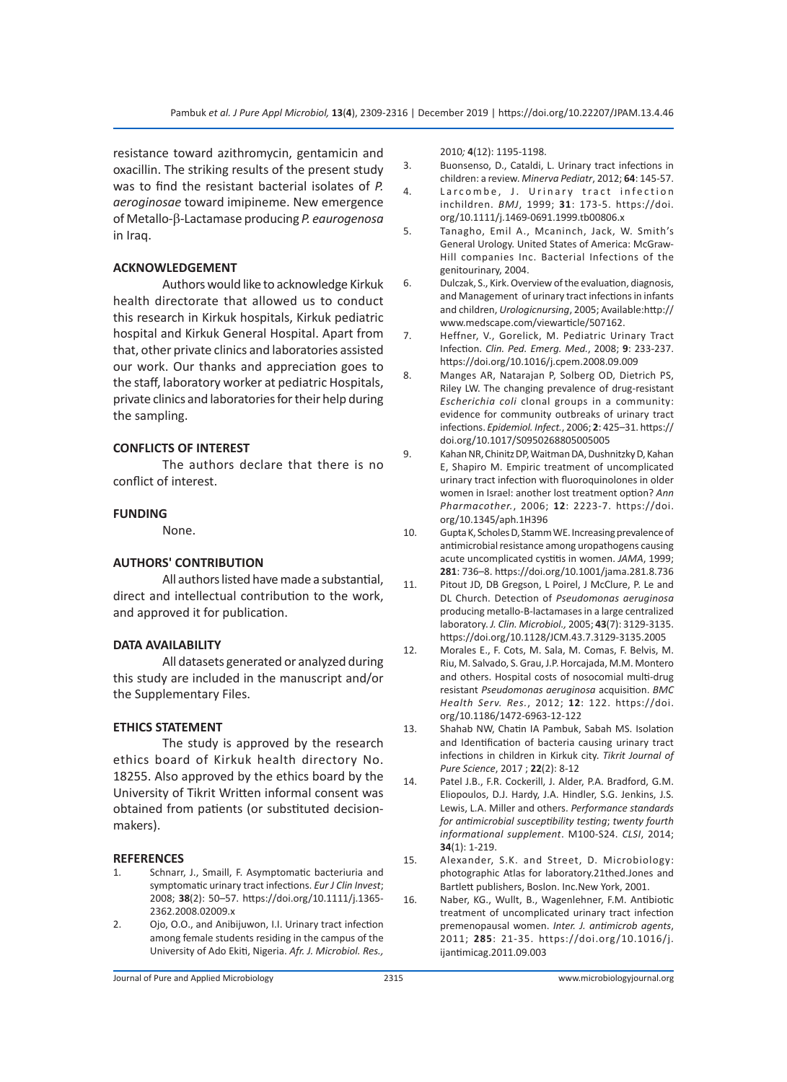resistance toward azithromycin, gentamicin and oxacillin. The striking results of the present study was to find the resistant bacterial isolates of *P. aeroginosae* toward imipineme. New emergence of Metallo-β-Lactamase producing *P. eaurogenosa* in Iraq.

# **ACKNOWLEDGEMENT**

Authors would like to acknowledge Kirkuk health directorate that allowed us to conduct this research in Kirkuk hospitals, Kirkuk pediatric hospital and Kirkuk General Hospital. Apart from that, other private clinics and laboratories assisted our work. Our thanks and appreciation goes to the staff, laboratory worker at pediatric Hospitals, private clinics and laboratories for their help during the sampling.

# **CONFLICTS OF INTEREST**

The authors declare that there is no conflict of interest.

# **FUNDING**

None.

# **AUTHORS' CONTRIBUTION**

All authors listed have made a substantial, direct and intellectual contribution to the work, and approved it for publication.

### **DATA AVAILABILITY**

All datasets generated or analyzed during this study are included in the manuscript and/or the Supplementary Files.

# **ETHICS STATEMENT**

The study is approved by the research ethics board of Kirkuk health directory No. 18255. Also approved by the ethics board by the University of Tikrit Written informal consent was obtained from patients (or substituted decisionmakers).

### **REFERENCES**

- 1. Schnarr, J., Smaill, F. Asymptomatic bacteriuria and symptomatic urinary tract infections. *Eur J Clin Invest*; 2008; **38**(2): 50–57. https://doi.org/10.1111/j.1365- 2362.2008.02009.x
- 2. Ojo, O.O., and Anibijuwon, I.I. Urinary tract infection among female students residing in the campus of the University of Ado Ekiti, Nigeria. *Afr. J. Microbiol. Res.,*

2010*;* **4**(12): 1195-1198.

- 3. Buonsenso, D., Cataldi, L. Urinary tract infections in children: a review. *Minerva Pediatr*, 2012; **64**: 145-57.
- 4. Larcombe, J. Urinary tract infection inchildren. *BMJ*, 1999; **31**: 173-5. https://doi. org/10.1111/j.1469-0691.1999.tb00806.x
- 5. Tanagho, Emil A., Mcaninch, Jack, W. Smith's General Urology. United States of America: McGraw-Hill companies Inc. Bacterial Infections of the genitourinary, 2004.
- 6. Dulczak, S., Kirk. Overview of the evaluation, diagnosis, and Management of urinary tract infections in infants and children, *Urologicnursing*, 2005; Available:http:// www.medscape.com/viewarticle/507162.
- 7. Heffner, V., Gorelick, M. Pediatric Urinary Tract Infection. *Clin. Ped. Emerg. Med.*, 2008; **9**: 233-237. https://doi.org/10.1016/j.cpem.2008.09.009
- 8. Manges AR, Natarajan P, Solberg OD, Dietrich PS, Riley LW. The changing prevalence of drug-resistant *Escherichia coli* clonal groups in a community: evidence for community outbreaks of urinary tract infections. *Epidemiol. Infect.*, 2006; **2**: 425–31. https:// doi.org/10.1017/S0950268805005005
- 9. Kahan NR, Chinitz DP, Waitman DA, Dushnitzky D, Kahan E, Shapiro M. Empiric treatment of uncomplicated urinary tract infection with fluoroquinolones in older women in Israel: another lost treatment option? *Ann Pharmacother.*, 2006; **12**: 2223-7. https://doi. org/10.1345/aph.1H396
- 10. Gupta K, Scholes D, Stamm WE. Increasing prevalence of antimicrobial resistance among uropathogens causing acute uncomplicated cystitis in women. *JAMA*, 1999; **281**: 736–8. https://doi.org/10.1001/jama.281.8.736
- 11. Pitout JD, DB Gregson, L Poirel, J McClure, P. Le and DL Church. Detection of *Pseudomonas aeruginosa* producing metallo-B-lactamases in a large centralized laboratory. *J. Clin. Microbiol.,* 2005; **43**(7): 3129-3135. https://doi.org/10.1128/JCM.43.7.3129-3135.2005
- 12. Morales E., F. Cots, M. Sala, M. Comas, F. Belvis, M. Riu, M. Salvado, S. Grau, J.P. Horcajada, M.M. Montero and others. Hospital costs of nosocomial multi-drug resistant *Pseudomonas aeruginosa* acquisition. *BMC Health Serv. Res.*, 2012; **12**: 122. https://doi. org/10.1186/1472-6963-12-122
- 13. Shahab NW, Chatin IA Pambuk, Sabah MS. Isolation and Identification of bacteria causing urinary tract infections in children in Kirkuk city. *Tikrit Journal of Pure Science*, 2017 ; **22**(2): 8-12
- 14. Patel J.B., F.R. Cockerill, J. Alder, P.A. Bradford, G.M. Eliopoulos, D.J. Hardy, J.A. Hindler, S.G. Jenkins, J.S. Lewis, L.A. Miller and others. *Performance standards for antimicrobial susceptibility testing*; *twenty fourth informational supplement*. M100-S24. *CLSI*, 2014; **34**(1): 1-219.
- 15. Alexander, S.K. and Street, D. Microbiology: photographic Atlas for laboratory.21thed.Jones and Bartlett publishers, Boslon. Inc.New York, 2001.
- 16. Naber, KG., Wullt, B., Wagenlehner, F.M. Antibiotic treatment of uncomplicated urinary tract infection premenopausal women. *Inter. J. antimicrob agents*, 2011; **285**: 21-35. https://doi.org/10.1016/j. ijantimicag.2011.09.003